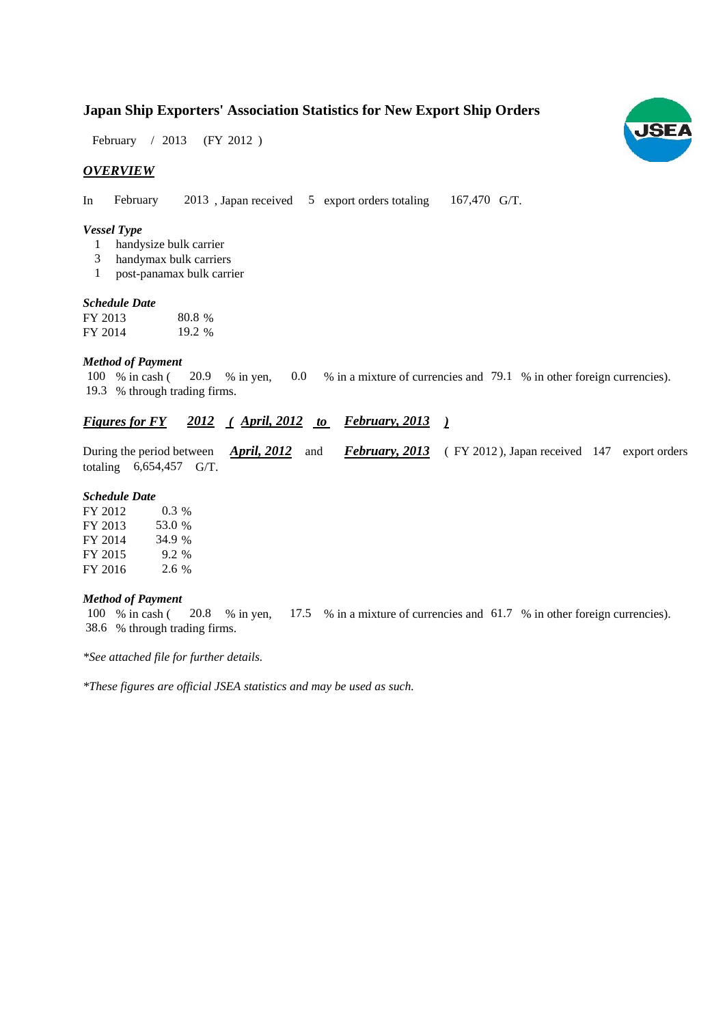# **Japan Ship Exporters' Association Statistics for New Export Ship Orders**

February / 2013 (FY 2012)

## *OVERVIEW*

In February 2013, Japan received 5 export orders totaling 167,470 G/T. 167,470 G/T.

#### *Vessel Type*

- handysize bulk carrier 1
- handymax bulk carriers 3
- post-panamax bulk carrier 1

#### *Schedule Date*

| FY 2013 | 80.8 % |
|---------|--------|
| FY 2014 | 19.2 % |

#### *Method of Payment*

100 % in cash (20.9 % in yen, 0.0 % in a mixture of currencies and 79.1 % in other foreign currencies). % through trading firms. 19.3

# *<u><i>Figures for FY 2012 (April, 2012 to February, 2013)*</u>

During the period between *April, 2012* and *February, 2013* (FY 2012), Japan received 147 export orders totaling  $6,654,457$  G/T. *April, 2012* and

#### *Schedule Date*

| FY 2012 | $0.3\%$ |
|---------|---------|
| FY 2013 | 53.0 %  |
| FY 2014 | 34.9 %  |
| FY 2015 | $9.2\%$ |
| FY 2016 | $2.6\%$ |

#### *Method of Payment*

% in cash ( $\,20.8\,\%$  in yen,  $\,17.5\,\%$  in a mixture of currencies and  $\,61.7\,\%$  in other foreign currencies). % through trading firms. 38.6 100 % in cash (20.8 % in yen,

*\*See attached file for further details.*

*\*These figures are official JSEA statistics and may be used as such.*

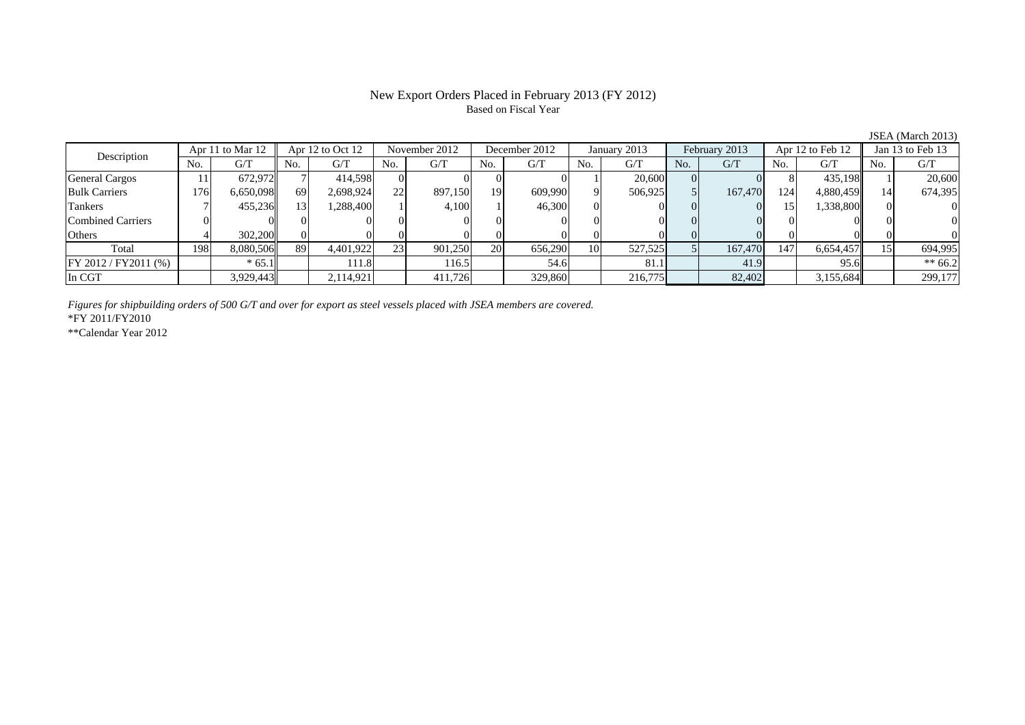### New Export Orders Placed in February 2013 (FY 2012) Based on Fiscal Year

JSEA (March 2013)<br>Jan 13 to Feb 13 No. G/T No. G/T No. G/T No. G/T No. G/T No. G/T No. G/T No. G/T $\mathrm{G}/\mathrm{T}$ General Cargos | 11| 672,972|| 7| 414,598| 0| 0| 0| 0| 1| 20,600| 0| 0| 8| 435,198|| 1| 20,600 Bulk Carriers 176 6,650,098 69 2,698,924 22 897,150 19 609,990 9 506,925 5 167,470 124 4,880,459 14 674,395 Tankers | 7| 455,236|| 13| 1,288,400| 1| 4,100| 1| 46,300| 0| 0| 0| 0| 0 Combined Carriers 0 0 0 0 0 0 0 0 0 0 0 0 0 0 0 0 $\overline{0}$ Others 4 302,200 0 0 0 0 0 0 0 0 0 0 0 0 0 0 Total 198 8,080,506 89 4,401,922 23 901,250 20 656,290 10 527,525 5 167,470 147 6,654,457 15 694,995 FY 2012 / FY2011 (%) \* 65.1 111.8 111.8 116.5 54.6 81.1 41.9 95.6 \*\* 66.2 In CGT 3,929,443 2,114,921 411,726 329,860 216,775 82,402 3,155,684 299,177 Description Apr 11 to Mar 12 Apr 12 to Oct 12 November 2012 December 2012<br>No. 6/T No. 6/T No. 6/T No. 6/T January 2013 February 2013 Apr 12 to Feb 12

*Figures for shipbuilding orders of 500 G/T and over for export as steel vessels placed with JSEA members are covered.*

\*FY 2011/FY2010

\*\*Calendar Year 2012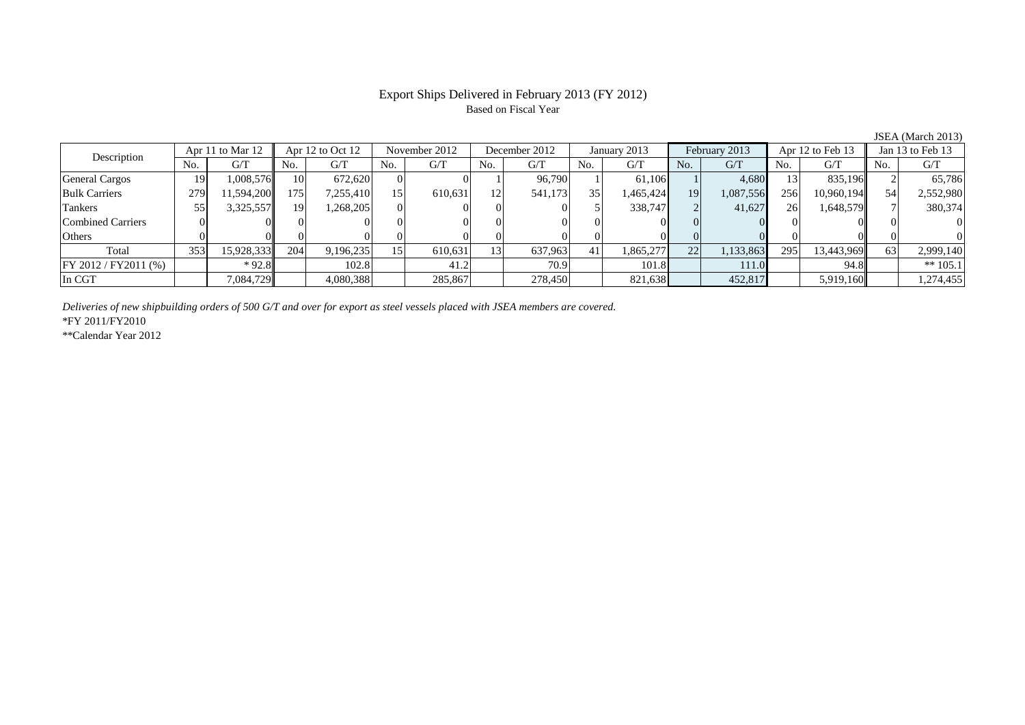## Export Ships Delivered in February 2013 (FY 2012) Based on Fiscal Year

No. G/T No. G/T No. G/T No. G/T No. G/T No. G/T No. G/T No. G/T $G/T$ General Cargos ( 19 1,008,576 10 672,620 0 0 1 96,790 1 61,106 1 4,680 13 835,196 2 65,786 Bulk Carriers 279 11,594,200 175 7,255,410 15 610,631 12 541,173 35 1,465,424 19 1,087,556 256 10,960,194 54 2,552,980 Tankers 55 3,325,557 19 1,268,205 0 0 0 0 5 338,747 2 41,627 26 1,648,579 7 380,374 Combined Carriers 0 0 0 0 0 0 0 0 0 0 0 0 0 0 0 0Others 0 0 0 0 0 0 0 0 0 0 0 0 0 0 0 0Total 353 15,928,333 204 9,196,235 15 610,631 13 637,963 41 1,865,277 22 1,133,863 295 13,443,969 63 2,999,140 FY 2012 / FY2011 (%) \* 92.8 102.8 102.8 41.2 70.9 101.8 111.0 94.8 \*\* 105.1 In CGT | | 7,084,729|| | 4,080,388| | 285,867| | 278,450| | 821,638| | 452,817| | 5,919,160|| | 1,274,455 Description Apr 11 to Mar 12 Apr 12 to Oct 12 November 2012 December 2012 January 2013 February 2013 Apr 12 to Feb 13 Jan 13 to Feb 13 January 2013 February 2013 Apr 12 to Feb 13

*Deliveries of new shipbuilding orders of 500 G/T and over for export as steel vessels placed with JSEA members are covered.*

\*FY 2011/FY2010

\*\*Calendar Year 2012

JSEA (March 2013)